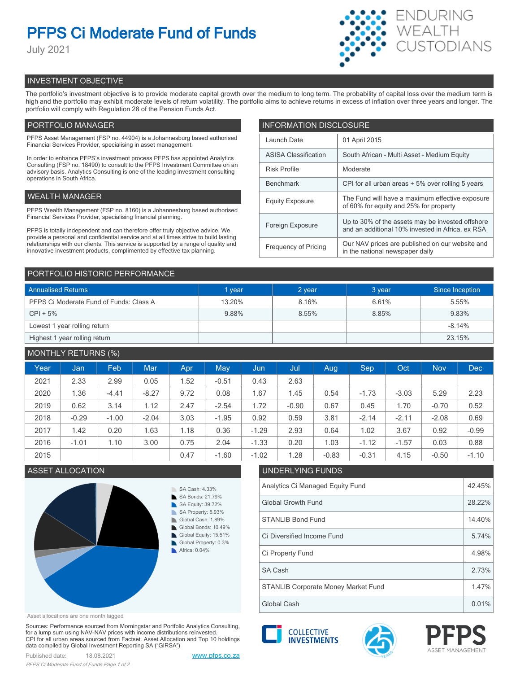# **PFPS Ci Moderate Fund of Funds**

July 2021



# INVESTMENT OBJECTIVE

The portfolio's investment objective is to provide moderate capital growth over the medium to long term. The probability of capital loss over the medium term is high and the portfolio may exhibit moderate levels of return volatility. The portfolio aims to achieve returns in excess of inflation over three years and longer. The portfolio will comply with Regulation 28 of the Pension Funds Act.

# PORTFOLIO MANAGER

PFPS Asset Management (FSP no. 44904) is a Johannesburg based authorised Financial Services Provider, specialising in asset management.

In order to enhance PFPS's investment process PFPS has appointed Analytics Consulting (FSP no. 18490) to consult to the PFPS Investment Committee on an advisory basis. Analytics Consulting is one of the leading investment consulting operations in South Africa.

# WEALTH MANAGER

PFPS Wealth Management (FSP no. 8160) is a Johannesburg based authorised Financial Services Provider, specialising financial planning.

PFPS is totally independent and can therefore offer truly objective advice. We provide a personal and confidential service and at all times strive to build lasting relationships with our clients. This service is supported by a range of quality and innovative investment products, complimented by effective tax planning.

| <b>INFORMATION DISCLOSURE</b> |                                                                                                      |  |  |  |  |  |
|-------------------------------|------------------------------------------------------------------------------------------------------|--|--|--|--|--|
| Launch Date                   | 01 April 2015                                                                                        |  |  |  |  |  |
| <b>ASISA Classification</b>   | South African - Multi Asset - Medium Equity                                                          |  |  |  |  |  |
| <b>Risk Profile</b>           | Moderate                                                                                             |  |  |  |  |  |
| <b>Benchmark</b>              | CPI for all urban areas + 5% over rolling 5 years                                                    |  |  |  |  |  |
| <b>Equity Exposure</b>        | The Fund will have a maximum effective exposure<br>of 60% for equity and 25% for property            |  |  |  |  |  |
| Foreign Exposure              | Up to 30% of the assets may be invested offshore<br>and an additional 10% invested in Africa, ex RSA |  |  |  |  |  |
| <b>Frequency of Pricing</b>   | Our NAV prices are published on our website and<br>in the national newspaper daily                   |  |  |  |  |  |

### PORTFOLIO HISTORIC PERFORMANCE

| <b>Annualised Returns</b>               | 1 year | 2 year | 3 year | Since Inception |
|-----------------------------------------|--------|--------|--------|-----------------|
| PFPS Ci Moderate Fund of Funds: Class A | 13.20% | 8.16%  | 6.61%  | 5.55%           |
| $CPI + 5%$                              | 9.88%  | 8.55%  | 8.85%  | 9.83%           |
| Lowest 1 year rolling return            |        |        |        | $-8.14%$        |
| Highest 1 year rolling return           |        |        |        | 23.15%          |

# MONTHLY RETURNS (%)

|      |         | $\sim$ $\sim$ $\sim$ $\sim$ |            |      |         |           |         |         |            |         |            |            |
|------|---------|-----------------------------|------------|------|---------|-----------|---------|---------|------------|---------|------------|------------|
| Year | Jan     | Feb                         | <b>Mar</b> | Apr  | May     | Jun       | Jul     | Aug     | <b>Sep</b> | Oct     | <b>Nov</b> | <b>Dec</b> |
| 2021 | 2.33    | 2.99                        | 0.05       | 1.52 | $-0.51$ | 0.43      | 2.63    |         |            |         |            |            |
| 2020 | 1.36    | $-4.41$                     | $-8.27$    | 9.72 | 0.08    | <b>67</b> | 1.45    | 0.54    | $-1.73$    | $-3.03$ | 5.29       | 2.23       |
| 2019 | 0.62    | 3.14                        | 1.12       | 2.47 | $-2.54$ | 1.72      | $-0.90$ | 0.67    | 0.45       | 1.70    | $-0.70$    | 0.52       |
| 2018 | $-0.29$ | $-1.00$                     | $-2.04$    | 3.03 | $-1.95$ | 0.92      | 0.59    | 3.81    | $-2.14$    | $-2.11$ | $-2.08$    | 0.69       |
| 2017 | 1.42    | 0.20                        | 1.63       | 1.18 | 0.36    | $-1.29$   | 2.93    | 0.64    | 1.02       | 3.67    | 0.92       | $-0.99$    |
| 2016 | $-1.01$ | 1.10                        | 3.00       | 0.75 | 2.04    | $-1.33$   | 0.20    | 1.03    | $-1.12$    | $-1.57$ | 0.03       | 0.88       |
| 2015 |         |                             |            | 0.47 | $-1.60$ | $-1.02$   | 1.28    | $-0.83$ | $-0.31$    | 4.15    | $-0.50$    | $-1.10$    |



#### Asset allocations are one month lagged

Sources: Performance sourced from Morningstar and Portfolio Analytics Consulting, for a lump sum using NAV-NAV prices with income distributions reinvested. CPI for all urban areas sourced from Factset. Asset Allocation and Top 10 holdings data compiled by Global Investment Reporting SA ("GIRSA")